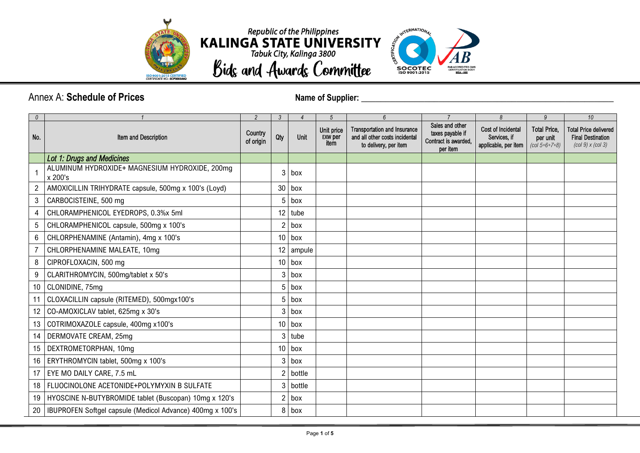





## Annex A: **Schedule of Prices** *Name of Supplier:* **2010 <b>***Name of Supplier:* 2010 *Name of Supplier:* 2010

| $\theta$ |                                                           | 2                    | $\mathfrak{Z}$ | $\overline{4}$ | 5                                    | $6\overline{6}$                                                                                | $\overline{7}$                                                          | $\mathcal{B}$                                              | $\overline{9}$                                     | 10                                                                                                                                                          |
|----------|-----------------------------------------------------------|----------------------|----------------|----------------|--------------------------------------|------------------------------------------------------------------------------------------------|-------------------------------------------------------------------------|------------------------------------------------------------|----------------------------------------------------|-------------------------------------------------------------------------------------------------------------------------------------------------------------|
| No.      | Item and Description                                      | Country<br>of origin | Qty            | Unit           | Unit price<br><b>EXW per</b><br>item | <b>Transportation and Insurance</b><br>and all other costs incidental<br>to delivery, per item | Sales and other<br>taxes payable if<br>Contract is awarded,<br>per item | Cost of Incidental<br>Services, if<br>applicable, per item | <b>Total Price,</b><br>per unit<br>$(col 5+6+7+8)$ | <b>Total Price delivered</b><br><b>Final Destination</b><br>$\left(\frac{\text{col } 9}{\text{10}}\right)$ x $\left(\frac{\text{col } 3}{\text{10}}\right)$ |
|          | Lot 1: Drugs and Medicines                                |                      |                |                |                                      |                                                                                                |                                                                         |                                                            |                                                    |                                                                                                                                                             |
|          | ALUMINUM HYDROXIDE+ MAGNESIUM HYDROXIDE, 200mg<br>x 200's |                      | 3              | box            |                                      |                                                                                                |                                                                         |                                                            |                                                    |                                                                                                                                                             |
|          | AMOXICILLIN TRIHYDRATE capsule, 500mg x 100's (Loyd)      |                      | 30             | box            |                                      |                                                                                                |                                                                         |                                                            |                                                    |                                                                                                                                                             |
| 3        | CARBOCISTEINE, 500 mg                                     |                      | 5              | box            |                                      |                                                                                                |                                                                         |                                                            |                                                    |                                                                                                                                                             |
| 4        | CHLORAMPHENICOL EYEDROPS, 0.3%x 5ml                       |                      | 12             | tube           |                                      |                                                                                                |                                                                         |                                                            |                                                    |                                                                                                                                                             |
| 5        | CHLORAMPHENICOL capsule, 500mg x 100's                    |                      | 2              | box            |                                      |                                                                                                |                                                                         |                                                            |                                                    |                                                                                                                                                             |
| 6        | CHLORPHENAMINE (Antamin), 4mg x 100's                     |                      | 10             | box            |                                      |                                                                                                |                                                                         |                                                            |                                                    |                                                                                                                                                             |
|          | CHLORPHENAMINE MALEATE, 10mg                              |                      | 12             | ampule         |                                      |                                                                                                |                                                                         |                                                            |                                                    |                                                                                                                                                             |
| 8        | CIPROFLOXACIN, 500 mg                                     |                      | 10             | box            |                                      |                                                                                                |                                                                         |                                                            |                                                    |                                                                                                                                                             |
| 9        | CLARITHROMYCIN, 500mg/tablet x 50's                       |                      | 3              | box            |                                      |                                                                                                |                                                                         |                                                            |                                                    |                                                                                                                                                             |
| 10       | CLONIDINE, 75mg                                           |                      | 5              | box            |                                      |                                                                                                |                                                                         |                                                            |                                                    |                                                                                                                                                             |
| 11       | CLOXACILLIN capsule (RITEMED), 500mgx100's                |                      | 5              | box            |                                      |                                                                                                |                                                                         |                                                            |                                                    |                                                                                                                                                             |
| 12       | CO-AMOXICLAV tablet, 625mg x 30's                         |                      | 3              | box            |                                      |                                                                                                |                                                                         |                                                            |                                                    |                                                                                                                                                             |
| 13       | COTRIMOXAZOLE capsule, 400mg x100's                       |                      | 10             | box            |                                      |                                                                                                |                                                                         |                                                            |                                                    |                                                                                                                                                             |
| 14       | DERMOVATE CREAM, 25mg                                     |                      | 3              | tube           |                                      |                                                                                                |                                                                         |                                                            |                                                    |                                                                                                                                                             |
| 15       | DEXTROMETORPHAN, 10mg                                     |                      | 10             | box            |                                      |                                                                                                |                                                                         |                                                            |                                                    |                                                                                                                                                             |
| 16       | ERYTHROMYCIN tablet, 500mg x 100's                        |                      | 3              | box            |                                      |                                                                                                |                                                                         |                                                            |                                                    |                                                                                                                                                             |
| 17       | EYE MO DAILY CARE, 7.5 mL                                 |                      | 2              | bottle         |                                      |                                                                                                |                                                                         |                                                            |                                                    |                                                                                                                                                             |
| 18       | FLUOCINOLONE ACETONIDE+POLYMYXIN B SULFATE                |                      | 3              | bottle         |                                      |                                                                                                |                                                                         |                                                            |                                                    |                                                                                                                                                             |
| 19       | HYOSCINE N-BUTYBROMIDE tablet (Buscopan) 10mg x 120's     |                      | 2              | box            |                                      |                                                                                                |                                                                         |                                                            |                                                    |                                                                                                                                                             |
| 20       | IBUPROFEN Softgel capsule (Medicol Advance) 400mg x 100's |                      | 8              | box            |                                      |                                                                                                |                                                                         |                                                            |                                                    |                                                                                                                                                             |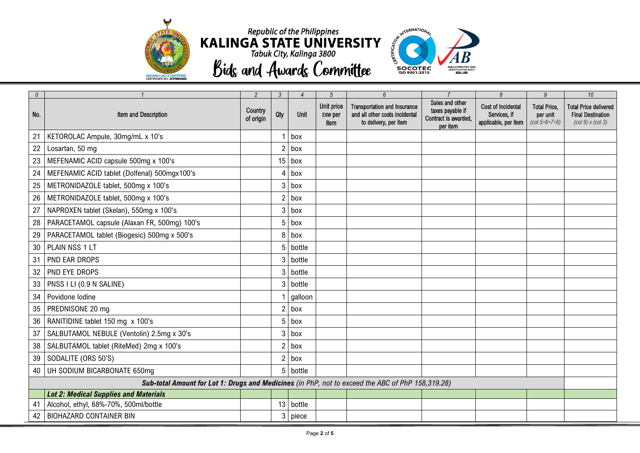



| $\theta$ |                                                                                                   | 2                    | 3              |           | $\overline{5}$                       | $6\overline{6}$                                                                                |                                                                         | 8                                                          | 9                                                  | 10                                                                                                                                                        |
|----------|---------------------------------------------------------------------------------------------------|----------------------|----------------|-----------|--------------------------------------|------------------------------------------------------------------------------------------------|-------------------------------------------------------------------------|------------------------------------------------------------|----------------------------------------------------|-----------------------------------------------------------------------------------------------------------------------------------------------------------|
| No.      | Item and Description                                                                              | Country<br>of origin | Qty            | Unit      | Unit price<br><b>EXW per</b><br>item | <b>Transportation and Insurance</b><br>and all other costs incidental<br>to delivery, per item | Sales and other<br>taxes payable if<br>Contract is awarded,<br>per item | Cost of Incidental<br>Services, if<br>applicable, per item | <b>Total Price.</b><br>per unit<br>$(col 5+6+7+8)$ | <b>Total Price delivered</b><br><b>Final Destination</b><br>$\left(\frac{\text{col } 9}{\text{N}}\right)$ x $\left(\frac{\text{col } 3}{\text{N}}\right)$ |
| 21       | KETOROLAC Ampule, 30mg/mL x 10's                                                                  |                      |                | $1$ box   |                                      |                                                                                                |                                                                         |                                                            |                                                    |                                                                                                                                                           |
| 22       | Losartan, 50 mg                                                                                   |                      | $\overline{2}$ | box       |                                      |                                                                                                |                                                                         |                                                            |                                                    |                                                                                                                                                           |
| 23       | MEFENAMIC ACID capsule 500mg x 100's                                                              |                      |                | $15$ box  |                                      |                                                                                                |                                                                         |                                                            |                                                    |                                                                                                                                                           |
| 24       | MEFENAMIC ACID tablet (Dolfenal) 500mgx100's                                                      |                      | 4              | box       |                                      |                                                                                                |                                                                         |                                                            |                                                    |                                                                                                                                                           |
| 25       | METRONIDAZOLE tablet, 500mg x 100's                                                               |                      |                | $3$ box   |                                      |                                                                                                |                                                                         |                                                            |                                                    |                                                                                                                                                           |
| 26       | METRONIDAZOLE tablet, 500mg x 100's                                                               |                      | $\overline{2}$ | box       |                                      |                                                                                                |                                                                         |                                                            |                                                    |                                                                                                                                                           |
| 27       | NAPROXEN tablet (Skelan), 550mg x 100's                                                           |                      | 3              | box       |                                      |                                                                                                |                                                                         |                                                            |                                                    |                                                                                                                                                           |
| 28       | PARACETAMOL capsule (Alaxan FR, 500mg) 100's                                                      |                      |                | 5 box     |                                      |                                                                                                |                                                                         |                                                            |                                                    |                                                                                                                                                           |
| 29       | PARACETAMOL tablet (Biogesic) 500mg x 500's                                                       |                      | 8              | box       |                                      |                                                                                                |                                                                         |                                                            |                                                    |                                                                                                                                                           |
| 30       | PLAIN NSS 1 LT                                                                                    |                      |                | 5 bottle  |                                      |                                                                                                |                                                                         |                                                            |                                                    |                                                                                                                                                           |
| 31       | PND EAR DROPS                                                                                     |                      | 3              | bottle    |                                      |                                                                                                |                                                                         |                                                            |                                                    |                                                                                                                                                           |
| 32       | <b>PND EYE DROPS</b>                                                                              |                      |                | 3 bottle  |                                      |                                                                                                |                                                                         |                                                            |                                                    |                                                                                                                                                           |
| 33       | PNSS I LI (0.9 N SALINE)                                                                          |                      | $\mathcal{S}$  | bottle    |                                      |                                                                                                |                                                                         |                                                            |                                                    |                                                                                                                                                           |
| 34       | Povidone Iodine                                                                                   |                      |                | galloon   |                                      |                                                                                                |                                                                         |                                                            |                                                    |                                                                                                                                                           |
| 35       | PREDNISONE 20 mg                                                                                  |                      |                | $2$ box   |                                      |                                                                                                |                                                                         |                                                            |                                                    |                                                                                                                                                           |
| 36       | RANITIDINE tablet 150 mg x 100's                                                                  |                      | 5              | box       |                                      |                                                                                                |                                                                         |                                                            |                                                    |                                                                                                                                                           |
| 37       | SALBUTAMOL NEBULE (Ventolin) 2.5mg x 30's                                                         |                      |                | $3$ box   |                                      |                                                                                                |                                                                         |                                                            |                                                    |                                                                                                                                                           |
| 38       | SALBUTAMOL tablet (RiteMed) 2mg x 100's                                                           |                      | $\overline{2}$ | box       |                                      |                                                                                                |                                                                         |                                                            |                                                    |                                                                                                                                                           |
| 39       | SODALITE (ORS 50'S)                                                                               |                      |                | $2$ box   |                                      |                                                                                                |                                                                         |                                                            |                                                    |                                                                                                                                                           |
| 40       | UH SODIUM BICARBONATE 650mg                                                                       |                      |                | 5 bottle  |                                      |                                                                                                |                                                                         |                                                            |                                                    |                                                                                                                                                           |
|          | Sub-total Amount for Lot 1: Drugs and Medicines (in PhP, not to exceed the ABC of PhP 158,319.28) |                      |                |           |                                      |                                                                                                |                                                                         |                                                            |                                                    |                                                                                                                                                           |
|          | <b>Lot 2: Medical Supplies and Materials</b>                                                      |                      |                |           |                                      |                                                                                                |                                                                         |                                                            |                                                    |                                                                                                                                                           |
| 41       | Alcohol, ethyl, 68%-70%, 500ml/bottle                                                             |                      |                | 13 bottle |                                      |                                                                                                |                                                                         |                                                            |                                                    |                                                                                                                                                           |
| 42       | <b>BIOHAZARD CONTAINER BIN</b>                                                                    |                      |                | 3 piece   |                                      |                                                                                                |                                                                         |                                                            |                                                    |                                                                                                                                                           |

**Bids and Awards Committee**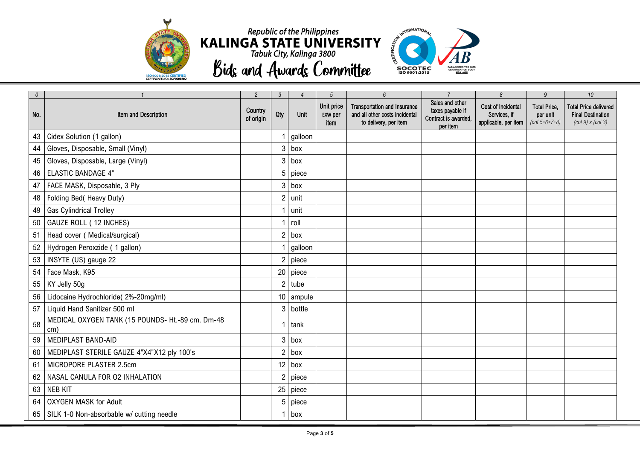



| $\theta$ |                                                         | 2                    | $\mathcal{S}$  | $\overline{4}$ | $5\overline{)}$                      | 6                                                                                              | $\overline{7}$                                                          | $\delta$                                                   | $\overline{9}$                                     | 10 <sup>10</sup>                                                                                                                                            |
|----------|---------------------------------------------------------|----------------------|----------------|----------------|--------------------------------------|------------------------------------------------------------------------------------------------|-------------------------------------------------------------------------|------------------------------------------------------------|----------------------------------------------------|-------------------------------------------------------------------------------------------------------------------------------------------------------------|
| No.      | Item and Description                                    | Country<br>of origin | Qty            | Unit           | Unit price<br><b>EXW per</b><br>item | <b>Transportation and Insurance</b><br>and all other costs incidental<br>to delivery, per item | Sales and other<br>taxes payable if<br>Contract is awarded,<br>per item | Cost of Incidental<br>Services, if<br>applicable, per item | <b>Total Price,</b><br>per unit<br>$(col 5+6+7+8)$ | <b>Total Price delivered</b><br><b>Final Destination</b><br>$\left(\frac{\text{col } 9}{\text{10}}\right)$ x $\left(\frac{\text{col } 3}{\text{10}}\right)$ |
| 43       | Cidex Solution (1 gallon)                               |                      |                | galloon        |                                      |                                                                                                |                                                                         |                                                            |                                                    |                                                                                                                                                             |
| 44       | Gloves, Disposable, Small (Vinyl)                       |                      | 3              | box            |                                      |                                                                                                |                                                                         |                                                            |                                                    |                                                                                                                                                             |
| 45       | Gloves, Disposable, Large (Vinyl)                       |                      | 3              | box            |                                      |                                                                                                |                                                                         |                                                            |                                                    |                                                                                                                                                             |
| 46       | <b>ELASTIC BANDAGE 4"</b>                               |                      |                | piece          |                                      |                                                                                                |                                                                         |                                                            |                                                    |                                                                                                                                                             |
| 47       | FACE MASK, Disposable, 3 Ply                            |                      |                | $3$ box        |                                      |                                                                                                |                                                                         |                                                            |                                                    |                                                                                                                                                             |
| 48       | Folding Bed( Heavy Duty)                                |                      | 2              | unit           |                                      |                                                                                                |                                                                         |                                                            |                                                    |                                                                                                                                                             |
| 49       | <b>Gas Cylindrical Trolley</b>                          |                      |                | unit           |                                      |                                                                                                |                                                                         |                                                            |                                                    |                                                                                                                                                             |
| 50       | GAUZE ROLL (12 INCHES)                                  |                      |                | roll           |                                      |                                                                                                |                                                                         |                                                            |                                                    |                                                                                                                                                             |
| 51       | Head cover (Medical/surgical)                           |                      | 2              | box            |                                      |                                                                                                |                                                                         |                                                            |                                                    |                                                                                                                                                             |
| 52       | Hydrogen Peroxzide ( 1 gallon)                          |                      |                | galloon        |                                      |                                                                                                |                                                                         |                                                            |                                                    |                                                                                                                                                             |
| 53       | INSYTE (US) gauge 22                                    |                      | 2              | piece          |                                      |                                                                                                |                                                                         |                                                            |                                                    |                                                                                                                                                             |
| 54       | Face Mask, K95                                          |                      |                | 20 piece       |                                      |                                                                                                |                                                                         |                                                            |                                                    |                                                                                                                                                             |
| 55       | KY Jelly 50g                                            |                      | $\mathfrak{p}$ | tube           |                                      |                                                                                                |                                                                         |                                                            |                                                    |                                                                                                                                                             |
| 56       | Lidocaine Hydrochloride( 2%-20mg/ml)                    |                      | 10             | ampule         |                                      |                                                                                                |                                                                         |                                                            |                                                    |                                                                                                                                                             |
| 57       | Liquid Hand Sanitizer 500 ml                            |                      | 3              | bottle         |                                      |                                                                                                |                                                                         |                                                            |                                                    |                                                                                                                                                             |
| 58       | MEDICAL OXYGEN TANK (15 POUNDS- Ht.-89 cm. Dm-48<br>cm) |                      |                | tank           |                                      |                                                                                                |                                                                         |                                                            |                                                    |                                                                                                                                                             |
| 59       | MEDIPLAST BAND-AID                                      |                      |                | $3$ box        |                                      |                                                                                                |                                                                         |                                                            |                                                    |                                                                                                                                                             |
| 60       | MEDIPLAST STERILE GAUZE 4"X4"X12 ply 100's              |                      | 2              | box            |                                      |                                                                                                |                                                                         |                                                            |                                                    |                                                                                                                                                             |
| 61       | MICROPORE PLASTER 2.5cm                                 |                      |                | $12$ box       |                                      |                                                                                                |                                                                         |                                                            |                                                    |                                                                                                                                                             |
| 62       | NASAL CANULA FOR O2 INHALATION                          |                      |                | piece          |                                      |                                                                                                |                                                                         |                                                            |                                                    |                                                                                                                                                             |
| 63       | <b>NEB KIT</b>                                          |                      | 25             | piece          |                                      |                                                                                                |                                                                         |                                                            |                                                    |                                                                                                                                                             |
| 64       | <b>OXYGEN MASK for Adult</b>                            |                      | 5              | piece          |                                      |                                                                                                |                                                                         |                                                            |                                                    |                                                                                                                                                             |
| 65       | SILK 1-0 Non-absorbable w/ cutting needle               |                      |                | box            |                                      |                                                                                                |                                                                         |                                                            |                                                    |                                                                                                                                                             |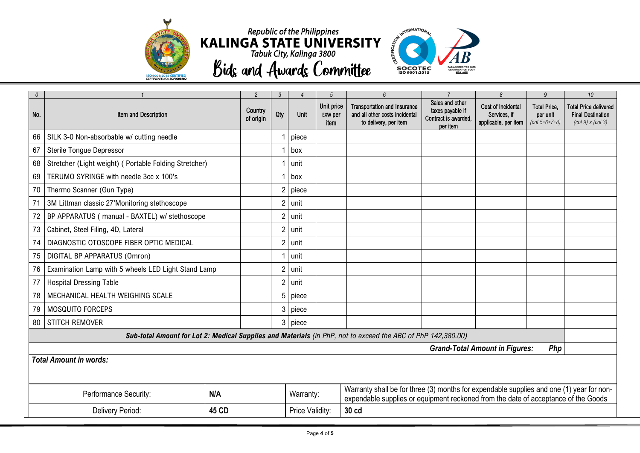



| $\theta$                                     |                                                                                                                                                                                                                             | $\mathfrak{p}$       | 3              |                 | $\overline{5}$                       | 6                                                                                              | $\overline{7}$                                                          | 8                                                          | 9                                                                        | 10 <sup>10</sup>                                                                                                                  |  |
|----------------------------------------------|-----------------------------------------------------------------------------------------------------------------------------------------------------------------------------------------------------------------------------|----------------------|----------------|-----------------|--------------------------------------|------------------------------------------------------------------------------------------------|-------------------------------------------------------------------------|------------------------------------------------------------|--------------------------------------------------------------------------|-----------------------------------------------------------------------------------------------------------------------------------|--|
| No.                                          | Item and Description                                                                                                                                                                                                        | Country<br>of origin | Qty            | Unit            | Unit price<br><b>EXW per</b><br>item | <b>Transportation and Insurance</b><br>and all other costs incidental<br>to delivery, per item | Sales and other<br>taxes payable if<br>Contract is awarded,<br>per item | Cost of Incidental<br>Services, if<br>applicable, per item | <b>Total Price,</b><br>per unit<br>$\left(\frac{col\ 5+6+7+8}{2}\right)$ | <b>Total Price delivered</b><br><b>Final Destination</b><br>$\left(\frac{\text{col }9}{\text{x}\left(\text{col }3\right)}\right)$ |  |
| 66                                           | SILK 3-0 Non-absorbable w/ cutting needle                                                                                                                                                                                   |                      |                | piece           |                                      |                                                                                                |                                                                         |                                                            |                                                                          |                                                                                                                                   |  |
| 67                                           | <b>Sterile Tongue Depressor</b>                                                                                                                                                                                             |                      |                | box             |                                      |                                                                                                |                                                                         |                                                            |                                                                          |                                                                                                                                   |  |
| 68                                           | Stretcher (Light weight) ( Portable Folding Stretcher)                                                                                                                                                                      |                      |                | unit            |                                      |                                                                                                |                                                                         |                                                            |                                                                          |                                                                                                                                   |  |
| 69                                           | TERUMO SYRINGE with needle 3cc x 100's                                                                                                                                                                                      |                      |                | box             |                                      |                                                                                                |                                                                         |                                                            |                                                                          |                                                                                                                                   |  |
| 70                                           | Thermo Scanner (Gun Type)                                                                                                                                                                                                   |                      |                | piece           |                                      |                                                                                                |                                                                         |                                                            |                                                                          |                                                                                                                                   |  |
| 71                                           | 3M Littman classic 27'Monitoring stethoscope                                                                                                                                                                                |                      | $\overline{2}$ | unit            |                                      |                                                                                                |                                                                         |                                                            |                                                                          |                                                                                                                                   |  |
| 72                                           | BP APPARATUS (manual - BAXTEL) w/ stethoscope                                                                                                                                                                               |                      |                | unit            |                                      |                                                                                                |                                                                         |                                                            |                                                                          |                                                                                                                                   |  |
| 73                                           | Cabinet, Steel Filing, 4D, Lateral                                                                                                                                                                                          |                      | <sup>2</sup>   | unit            |                                      |                                                                                                |                                                                         |                                                            |                                                                          |                                                                                                                                   |  |
| 74                                           | DIAGNOSTIC OTOSCOPE FIBER OPTIC MEDICAL                                                                                                                                                                                     |                      |                | unit            |                                      |                                                                                                |                                                                         |                                                            |                                                                          |                                                                                                                                   |  |
| 75                                           | DIGITAL BP APPARATUS (Omron)                                                                                                                                                                                                |                      |                | unit            |                                      |                                                                                                |                                                                         |                                                            |                                                                          |                                                                                                                                   |  |
| 76                                           | Examination Lamp with 5 wheels LED Light Stand Lamp                                                                                                                                                                         |                      |                | unit            |                                      |                                                                                                |                                                                         |                                                            |                                                                          |                                                                                                                                   |  |
| 77                                           | <b>Hospital Dressing Table</b>                                                                                                                                                                                              |                      |                | unit            |                                      |                                                                                                |                                                                         |                                                            |                                                                          |                                                                                                                                   |  |
| 78                                           | MECHANICAL HEALTH WEIGHING SCALE                                                                                                                                                                                            |                      | 5              | piece           |                                      |                                                                                                |                                                                         |                                                            |                                                                          |                                                                                                                                   |  |
| 79                                           | MOSQUITO FORCEPS                                                                                                                                                                                                            |                      |                | piece           |                                      |                                                                                                |                                                                         |                                                            |                                                                          |                                                                                                                                   |  |
| 80                                           | <b>STITCH REMOVER</b>                                                                                                                                                                                                       |                      | 3              | piece           |                                      |                                                                                                |                                                                         |                                                            |                                                                          |                                                                                                                                   |  |
|                                              | Sub-total Amount for Lot 2: Medical Supplies and Materials (in PhP, not to exceed the ABC of PhP 142,380.00)                                                                                                                |                      |                |                 |                                      |                                                                                                |                                                                         |                                                            |                                                                          |                                                                                                                                   |  |
| <b>Grand-Total Amount in Figures:</b><br>Php |                                                                                                                                                                                                                             |                      |                |                 |                                      |                                                                                                |                                                                         |                                                            |                                                                          |                                                                                                                                   |  |
| <b>Total Amount in words:</b>                |                                                                                                                                                                                                                             |                      |                |                 |                                      |                                                                                                |                                                                         |                                                            |                                                                          |                                                                                                                                   |  |
|                                              | Warranty shall be for three (3) months for expendable supplies and one (1) year for non-<br>N/A<br>Performance Security:<br>Warranty:<br>expendable supplies or equipment reckoned from the date of acceptance of the Goods |                      |                |                 |                                      |                                                                                                |                                                                         |                                                            |                                                                          |                                                                                                                                   |  |
| Delivery Period:<br>45 CD                    |                                                                                                                                                                                                                             |                      |                | Price Validity: |                                      | 30 cd                                                                                          |                                                                         |                                                            |                                                                          |                                                                                                                                   |  |